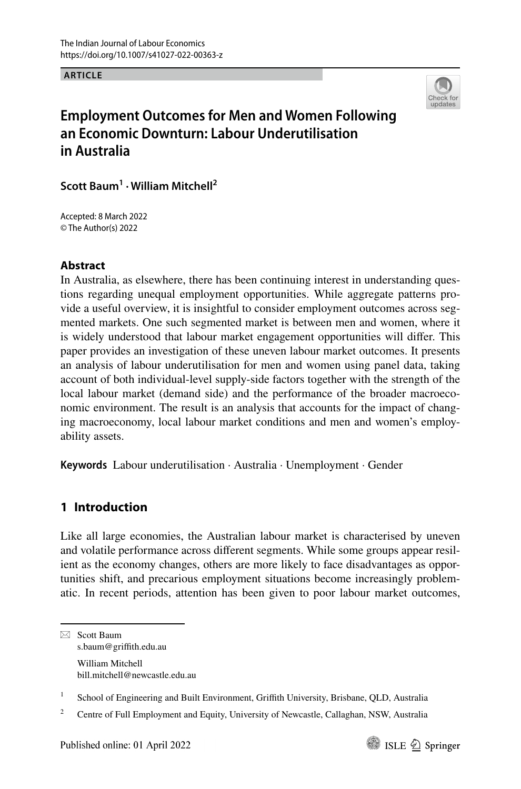**ARTICLE**



# **Employment Outcomes for Men and Women Following an Economic Downturn: Labour Underutilisation in Australia**

**Scott Baum1 · William Mitchell2**

Accepted: 8 March 2022 © The Author(s) 2022

### **Abstract**

In Australia, as elsewhere, there has been continuing interest in understanding questions regarding unequal employment opportunities. While aggregate patterns provide a useful overview, it is insightful to consider employment outcomes across segmented markets. One such segmented market is between men and women, where it is widely understood that labour market engagement opportunities will difer. This paper provides an investigation of these uneven labour market outcomes. It presents an analysis of labour underutilisation for men and women using panel data, taking account of both individual-level supply-side factors together with the strength of the local labour market (demand side) and the performance of the broader macroeconomic environment. The result is an analysis that accounts for the impact of changing macroeconomy, local labour market conditions and men and women's employability assets.

**Keywords** Labour underutilisation · Australia · Unemployment · Gender

# **1 Introduction**

Like all large economies, the Australian labour market is characterised by uneven and volatile performance across diferent segments. While some groups appear resilient as the economy changes, others are more likely to face disadvantages as opportunities shift, and precarious employment situations become increasingly problematic. In recent periods, attention has been given to poor labour market outcomes,



 $\boxtimes$  Scott Baum s.baum@grifth.edu.au William Mitchell bill.mitchell@newcastle.edu.au

<sup>&</sup>lt;sup>1</sup> School of Engineering and Built Environment, Griffith University, Brisbane, QLD, Australia

<sup>&</sup>lt;sup>2</sup> Centre of Full Employment and Equity, University of Newcastle, Callaghan, NSW, Australia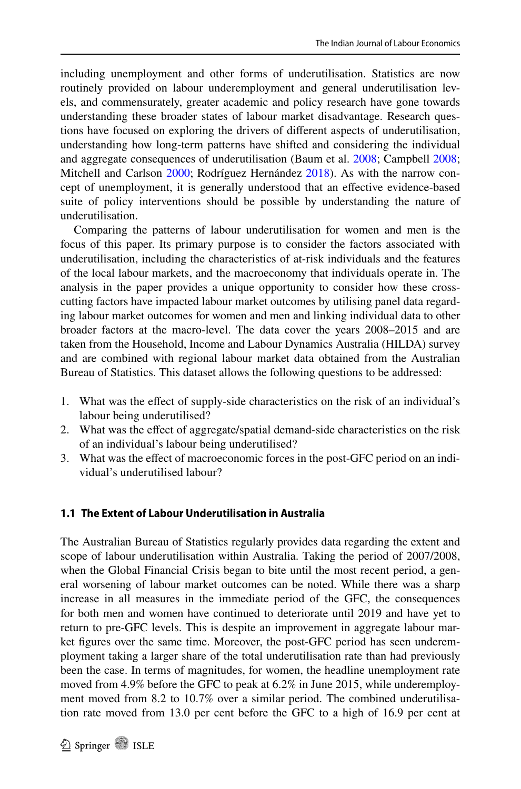including unemployment and other forms of underutilisation. Statistics are now routinely provided on labour underemployment and general underutilisation levels, and commensurately, greater academic and policy research have gone towards understanding these broader states of labour market disadvantage. Research questions have focused on exploring the drivers of diferent aspects of underutilisation, understanding how long-term patterns have shifted and considering the individual and aggregate consequences of underutilisation (Baum et al. [2008](#page-15-0); Campbell [2008;](#page-16-0) Mitchell and Carlson [2000](#page-16-1); Rodríguez Hernández [2018](#page-16-2)). As with the narrow concept of unemployment, it is generally understood that an efective evidence-based suite of policy interventions should be possible by understanding the nature of underutilisation.

Comparing the patterns of labour underutilisation for women and men is the focus of this paper. Its primary purpose is to consider the factors associated with underutilisation, including the characteristics of at-risk individuals and the features of the local labour markets, and the macroeconomy that individuals operate in. The analysis in the paper provides a unique opportunity to consider how these crosscutting factors have impacted labour market outcomes by utilising panel data regarding labour market outcomes for women and men and linking individual data to other broader factors at the macro-level. The data cover the years 2008–2015 and are taken from the Household, Income and Labour Dynamics Australia (HILDA) survey and are combined with regional labour market data obtained from the Australian Bureau of Statistics. This dataset allows the following questions to be addressed:

- 1. What was the efect of supply-side characteristics on the risk of an individual's labour being underutilised?
- 2. What was the efect of aggregate/spatial demand-side characteristics on the risk of an individual's labour being underutilised?
- 3. What was the efect of macroeconomic forces in the post-GFC period on an individual's underutilised labour?

### **1.1 The Extent of Labour Underutilisation in Australia**

The Australian Bureau of Statistics regularly provides data regarding the extent and scope of labour underutilisation within Australia. Taking the period of 2007/2008, when the Global Financial Crisis began to bite until the most recent period, a general worsening of labour market outcomes can be noted. While there was a sharp increase in all measures in the immediate period of the GFC, the consequences for both men and women have continued to deteriorate until 2019 and have yet to return to pre-GFC levels. This is despite an improvement in aggregate labour market fgures over the same time. Moreover, the post-GFC period has seen underemployment taking a larger share of the total underutilisation rate than had previously been the case. In terms of magnitudes, for women, the headline unemployment rate moved from 4.9% before the GFC to peak at 6.2% in June 2015, while underemployment moved from 8.2 to 10.7% over a similar period. The combined underutilisation rate moved from 13.0 per cent before the GFC to a high of 16.9 per cent at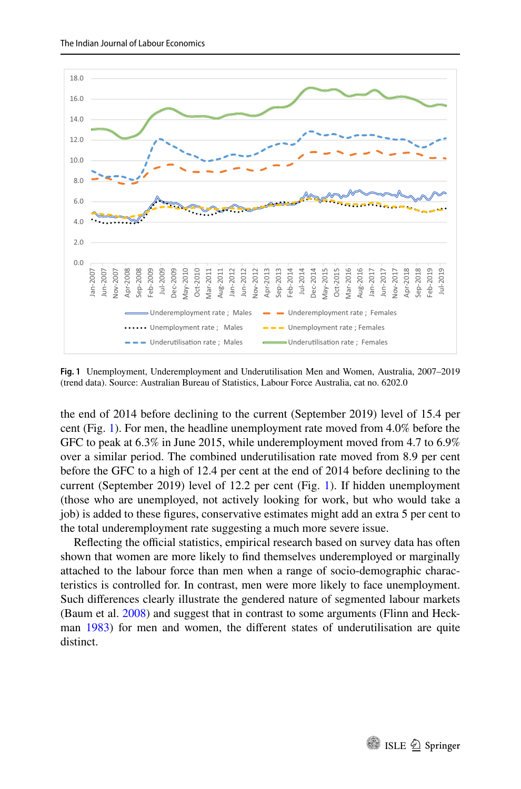

<span id="page-2-0"></span>**Fig. 1** Unemployment, Underemployment and Underutilisation Men and Women, Australia, 2007–2019 (trend data). Source: Australian Bureau of Statistics, Labour Force Australia, cat no. 6202.0

the end of 2014 before declining to the current (September 2019) level of 15.4 per cent (Fig. [1\)](#page-2-0). For men, the headline unemployment rate moved from 4.0% before the GFC to peak at 6.3% in June 2015, while underemployment moved from 4.7 to 6.9% over a similar period. The combined underutilisation rate moved from 8.9 per cent before the GFC to a high of 12.4 per cent at the end of 2014 before declining to the current (September 2019) level of 12.2 per cent (Fig. [1\)](#page-2-0). If hidden unemployment (those who are unemployed, not actively looking for work, but who would take a job) is added to these fgures, conservative estimates might add an extra 5 per cent to the total underemployment rate suggesting a much more severe issue.

Reflecting the official statistics, empirical research based on survey data has often shown that women are more likely to fnd themselves underemployed or marginally attached to the labour force than men when a range of socio-demographic characteristics is controlled for. In contrast, men were more likely to face unemployment. Such diferences clearly illustrate the gendered nature of segmented labour markets (Baum et al. [2008](#page-15-0)) and suggest that in contrast to some arguments (Flinn and Heckman [1983](#page-16-3)) for men and women, the diferent states of underutilisation are quite distinct.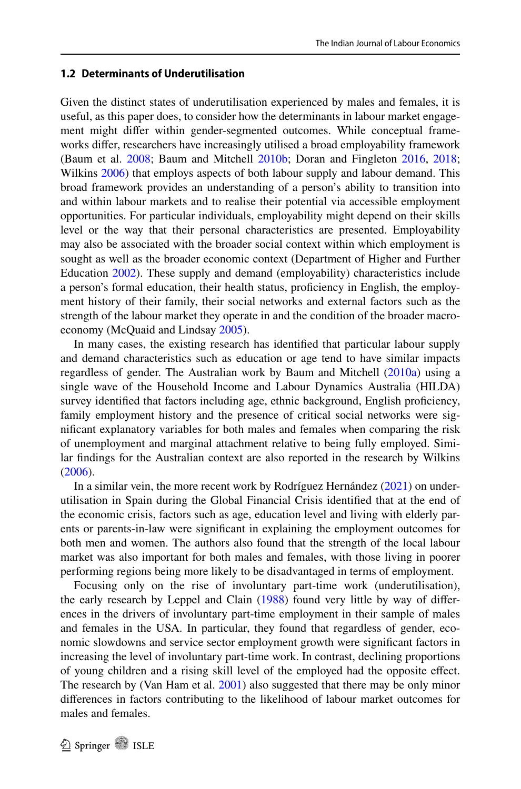#### **1.2 Determinants of Underutilisation**

Given the distinct states of underutilisation experienced by males and females, it is useful, as this paper does, to consider how the determinants in labour market engagement might difer within gender-segmented outcomes. While conceptual frameworks difer, researchers have increasingly utilised a broad employability framework (Baum et al. [2008](#page-15-0); Baum and Mitchell [2010b;](#page-15-1) Doran and Fingleton [2016](#page-16-4), [2018;](#page-16-5) Wilkins [2006](#page-16-6)) that employs aspects of both labour supply and labour demand. This broad framework provides an understanding of a person's ability to transition into and within labour markets and to realise their potential via accessible employment opportunities. For particular individuals, employability might depend on their skills level or the way that their personal characteristics are presented. Employability may also be associated with the broader social context within which employment is sought as well as the broader economic context (Department of Higher and Further Education [2002\)](#page-16-7). These supply and demand (employability) characteristics include a person's formal education, their health status, profciency in English, the employment history of their family, their social networks and external factors such as the strength of the labour market they operate in and the condition of the broader macroeconomy (McQuaid and Lindsay [2005\)](#page-16-8).

In many cases, the existing research has identifed that particular labour supply and demand characteristics such as education or age tend to have similar impacts regardless of gender. The Australian work by Baum and Mitchell [\(2010a\)](#page-15-2) using a single wave of the Household Income and Labour Dynamics Australia (HILDA) survey identifed that factors including age, ethnic background, English profciency, family employment history and the presence of critical social networks were signifcant explanatory variables for both males and females when comparing the risk of unemployment and marginal attachment relative to being fully employed. Similar fndings for the Australian context are also reported in the research by Wilkins [\(2006](#page-16-6)).

In a similar vein, the more recent work by Rodríguez Hernández [\(2021](#page-16-9)) on underutilisation in Spain during the Global Financial Crisis identifed that at the end of the economic crisis, factors such as age, education level and living with elderly parents or parents-in-law were signifcant in explaining the employment outcomes for both men and women. The authors also found that the strength of the local labour market was also important for both males and females, with those living in poorer performing regions being more likely to be disadvantaged in terms of employment.

Focusing only on the rise of involuntary part-time work (underutilisation), the early research by Leppel and Clain [\(1988](#page-16-10)) found very little by way of diferences in the drivers of involuntary part-time employment in their sample of males and females in the USA. In particular, they found that regardless of gender, economic slowdowns and service sector employment growth were signifcant factors in increasing the level of involuntary part-time work. In contrast, declining proportions of young children and a rising skill level of the employed had the opposite efect. The research by (Van Ham et al. [2001](#page-16-11)) also suggested that there may be only minor diferences in factors contributing to the likelihood of labour market outcomes for males and females.

**2** Springer **1** ISLE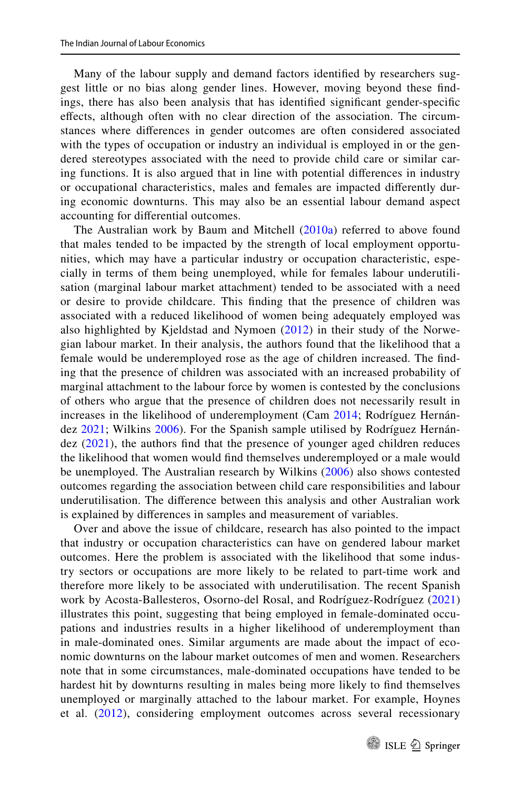Many of the labour supply and demand factors identifed by researchers suggest little or no bias along gender lines. However, moving beyond these fndings, there has also been analysis that has identifed signifcant gender-specifc efects, although often with no clear direction of the association. The circumstances where diferences in gender outcomes are often considered associated with the types of occupation or industry an individual is employed in or the gendered stereotypes associated with the need to provide child care or similar caring functions. It is also argued that in line with potential diferences in industry or occupational characteristics, males and females are impacted diferently during economic downturns. This may also be an essential labour demand aspect accounting for diferential outcomes.

The Australian work by Baum and Mitchell [\(2010a](#page-15-2)) referred to above found that males tended to be impacted by the strength of local employment opportunities, which may have a particular industry or occupation characteristic, especially in terms of them being unemployed, while for females labour underutilisation (marginal labour market attachment) tended to be associated with a need or desire to provide childcare. This fnding that the presence of children was associated with a reduced likelihood of women being adequately employed was also highlighted by Kjeldstad and Nymoen [\(2012\)](#page-16-12) in their study of the Norwegian labour market. In their analysis, the authors found that the likelihood that a female would be underemployed rose as the age of children increased. The fnding that the presence of children was associated with an increased probability of marginal attachment to the labour force by women is contested by the conclusions of others who argue that the presence of children does not necessarily result in increases in the likelihood of underemployment (Cam [2014](#page-15-3); Rodríguez Hernández [2021](#page-16-9); Wilkins [2006](#page-16-6)). For the Spanish sample utilised by Rodríguez Hernández [\(2021\)](#page-16-9), the authors fnd that the presence of younger aged children reduces the likelihood that women would fnd themselves underemployed or a male would be unemployed. The Australian research by Wilkins [\(2006\)](#page-16-6) also shows contested outcomes regarding the association between child care responsibilities and labour underutilisation. The diference between this analysis and other Australian work is explained by diferences in samples and measurement of variables.

Over and above the issue of childcare, research has also pointed to the impact that industry or occupation characteristics can have on gendered labour market outcomes. Here the problem is associated with the likelihood that some industry sectors or occupations are more likely to be related to part-time work and therefore more likely to be associated with underutilisation. The recent Spanish work by Acosta-Ballesteros, Osorno-del Rosal, and Rodríguez-Rodríguez [\(2021](#page-15-4)) illustrates this point, suggesting that being employed in female-dominated occupations and industries results in a higher likelihood of underemployment than in male-dominated ones. Similar arguments are made about the impact of economic downturns on the labour market outcomes of men and women. Researchers note that in some circumstances, male-dominated occupations have tended to be hardest hit by downturns resulting in males being more likely to fnd themselves unemployed or marginally attached to the labour market. For example, Hoynes et al. ([2012\)](#page-16-13), considering employment outcomes across several recessionary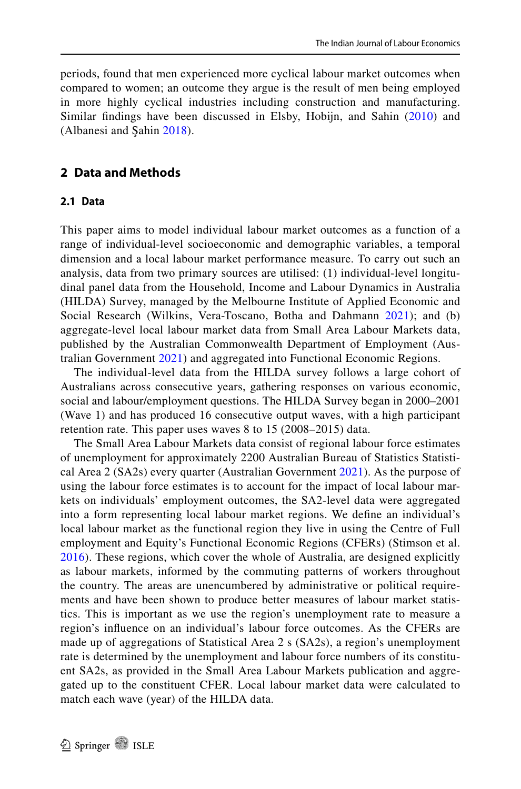periods, found that men experienced more cyclical labour market outcomes when compared to women; an outcome they argue is the result of men being employed in more highly cyclical industries including construction and manufacturing. Similar fndings have been discussed in Elsby, Hobijn, and Sahin ([2010\)](#page-16-14) and (Albanesi and Şahin [2018\)](#page-15-5).

### **2 Data and Methods**

#### **2.1 Data**

This paper aims to model individual labour market outcomes as a function of a range of individual-level socioeconomic and demographic variables, a temporal dimension and a local labour market performance measure. To carry out such an analysis, data from two primary sources are utilised: (1) individual-level longitudinal panel data from the Household, Income and Labour Dynamics in Australia (HILDA) Survey, managed by the Melbourne Institute of Applied Economic and Social Research (Wilkins, Vera-Toscano, Botha and Dahmann [2021\)](#page-16-15); and (b) aggregate-level local labour market data from Small Area Labour Markets data, published by the Australian Commonwealth Department of Employment (Australian Government [2021\)](#page-15-6) and aggregated into Functional Economic Regions.

The individual-level data from the HILDA survey follows a large cohort of Australians across consecutive years, gathering responses on various economic, social and labour/employment questions. The HILDA Survey began in 2000–2001 (Wave 1) and has produced 16 consecutive output waves, with a high participant retention rate. This paper uses waves 8 to 15 (2008–2015) data.

The Small Area Labour Markets data consist of regional labour force estimates of unemployment for approximately 2200 Australian Bureau of Statistics Statistical Area 2 (SA2s) every quarter (Australian Government [2021\)](#page-15-6). As the purpose of using the labour force estimates is to account for the impact of local labour markets on individuals' employment outcomes, the SA2-level data were aggregated into a form representing local labour market regions. We defne an individual's local labour market as the functional region they live in using the Centre of Full employment and Equity's Functional Economic Regions (CFERs) (Stimson et al. [2016\)](#page-16-16). These regions, which cover the whole of Australia, are designed explicitly as labour markets, informed by the commuting patterns of workers throughout the country. The areas are unencumbered by administrative or political requirements and have been shown to produce better measures of labour market statistics. This is important as we use the region's unemployment rate to measure a region's infuence on an individual's labour force outcomes. As the CFERs are made up of aggregations of Statistical Area 2 s (SA2s), a region's unemployment rate is determined by the unemployment and labour force numbers of its constituent SA2s, as provided in the Small Area Labour Markets publication and aggregated up to the constituent CFER. Local labour market data were calculated to match each wave (year) of the HILDA data.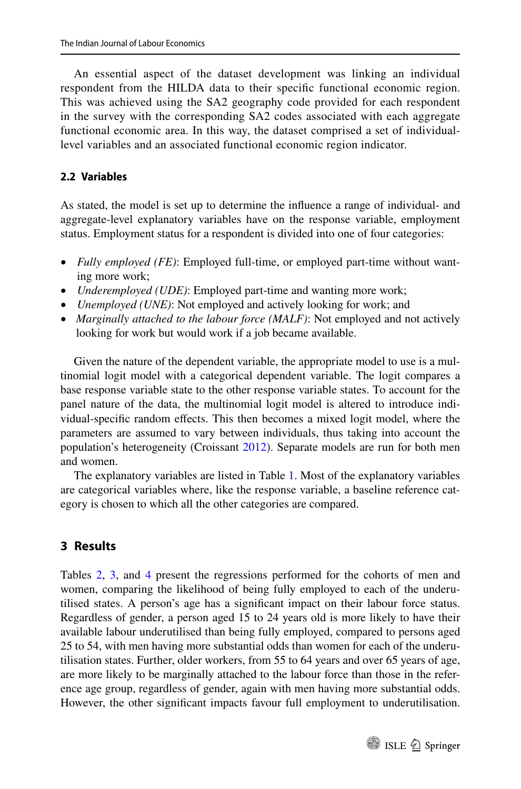An essential aspect of the dataset development was linking an individual respondent from the HILDA data to their specifc functional economic region. This was achieved using the SA2 geography code provided for each respondent in the survey with the corresponding SA2 codes associated with each aggregate functional economic area. In this way, the dataset comprised a set of individuallevel variables and an associated functional economic region indicator.

#### **2.2 Variables**

As stated, the model is set up to determine the infuence a range of individual- and aggregate-level explanatory variables have on the response variable, employment status. Employment status for a respondent is divided into one of four categories:

- *Fully employed (FE)*: Employed full-time, or employed part-time without wanting more work;
- *Underemployed (UDE)*: Employed part-time and wanting more work;
- *Unemployed (UNE)*: Not employed and actively looking for work; and
- *Marginally attached to the labour force (MALF)*: Not employed and not actively looking for work but would work if a job became available.

Given the nature of the dependent variable, the appropriate model to use is a multinomial logit model with a categorical dependent variable. The logit compares a base response variable state to the other response variable states. To account for the panel nature of the data, the multinomial logit model is altered to introduce individual-specifc random efects. This then becomes a mixed logit model, where the parameters are assumed to vary between individuals, thus taking into account the population's heterogeneity (Croissant [2012\)](#page-16-17). Separate models are run for both men and women.

The explanatory variables are listed in Table [1](#page-7-0). Most of the explanatory variables are categorical variables where, like the response variable, a baseline reference category is chosen to which all the other categories are compared.

### **3 Results**

Tables [2](#page-9-0), [3,](#page-10-0) and [4](#page-11-0) present the regressions performed for the cohorts of men and women, comparing the likelihood of being fully employed to each of the underutilised states. A person's age has a signifcant impact on their labour force status. Regardless of gender, a person aged 15 to 24 years old is more likely to have their available labour underutilised than being fully employed, compared to persons aged 25 to 54, with men having more substantial odds than women for each of the underutilisation states. Further, older workers, from 55 to 64 years and over 65 years of age, are more likely to be marginally attached to the labour force than those in the reference age group, regardless of gender, again with men having more substantial odds. However, the other signifcant impacts favour full employment to underutilisation.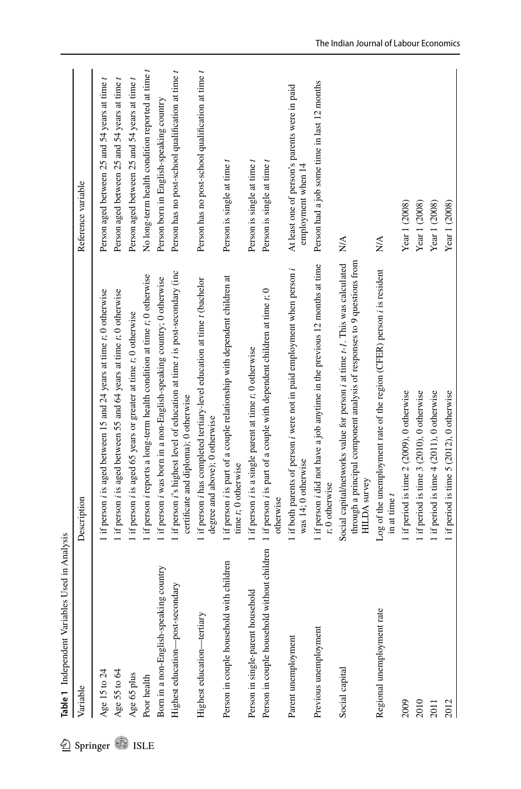<span id="page-7-0"></span>

|             | sed in Analysis<br>Table 1 Independent Variables U |                                                                                                                                                                                              |                                                                     |
|-------------|----------------------------------------------------|----------------------------------------------------------------------------------------------------------------------------------------------------------------------------------------------|---------------------------------------------------------------------|
| Springer    | Variable                                           | Description                                                                                                                                                                                  | Reference variable                                                  |
|             | Age 15 to 24                                       | 1 if person <i>i</i> is aged between 15 and 24 years at time <i>t</i> ; 0 otherwise                                                                                                          | Person aged between 25 and 54 years at time t                       |
|             | Age 55 to 64                                       | 1 if person <i>i</i> is aged between 55 and 64 years at time <i>t</i> ; 0 otherwise                                                                                                          | Person aged between 25 and 54 years at time t                       |
|             | Age 65 plus                                        | 1 if person <i>i</i> is aged 65 years or greater at time <i>t</i> ; 0 otherwise                                                                                                              | Person aged between 25 and 54 years at time t                       |
| <b>ISLE</b> | Poor health                                        | 1 if person i reports a long-term health condition at time t; 0 otherwise                                                                                                                    | No long-term health condition reported at time t                    |
|             | Born in a non-English-speaking country             | 1 if person i was born in a non-English-speaking country; 0 otherwise                                                                                                                        | Person born in English-speaking country                             |
|             | Highest education-post-secondary                   | 1 if person i's highest level of education at time t is post-secondary (inc<br>certificate and diploma); 0 otherwise                                                                         | Person has no post-school qualification at time t                   |
|             | Highest education—tertiary                         | 1 if person <i>i</i> has completed tertiary-level education at time <i>t</i> (bachelor<br>degree and above); 0 otherwise                                                                     | Person has no post-school qualification at time t                   |
|             | children<br>Person in couple household with        | 1 if person i is part of a couple relationship with dependent children at<br>time t; 0 otherwise                                                                                             | Person is single at time t                                          |
|             | Person in single-parent household                  | 1 if person <i>i</i> is a single parent at time t; 0 otherwise                                                                                                                               | Person is single at time t                                          |
|             | Person in couple household without children        | 1 if person <i>i</i> is part of a couple with dependent children at time <i>t</i> ; 0<br>otherwise                                                                                           | Person is single at time t                                          |
|             | Parent unemployment                                | 1 if both parents of person <i>i</i> were not in paid employment when person <i>i</i><br>was 14; 0 otherwise                                                                                 | At least one of person's parents were in paid<br>employment when 14 |
|             | Previous unemployment                              | 1 if person <i>i</i> did not have a job anytime in the previous 12 months at time<br>t; 0 otherwise                                                                                          | Person had a job some time in last 12 months                        |
|             | Social capital                                     | through a principal component analysis of responses to 9 questions from<br>Social capital/networks value for person <i>i</i> at time <i>t-1</i> . This was calculated<br><b>HILDA</b> survey | $N\mathbf{A}$                                                       |
|             | Regional unemployment rate                         | Log of the unemployment rate of the region (CFER) person i is resident<br>in at time t                                                                                                       | N/A                                                                 |
|             | 2009                                               | 1 if period is time 2 (2009), 0 otherwise                                                                                                                                                    | Year 1 (2008)                                                       |
|             | 2010                                               | 1 if period is time 3 (2010), 0 otherwise                                                                                                                                                    | Year 1 (2008)                                                       |
|             | 2011                                               | 1 if period is time $4$ (2011), 0 otherwise                                                                                                                                                  | Year 1 (2008)                                                       |
|             | 2012                                               | 1 if period is time 5 (2012), 0 otherwise                                                                                                                                                    | Year 1 (2008)                                                       |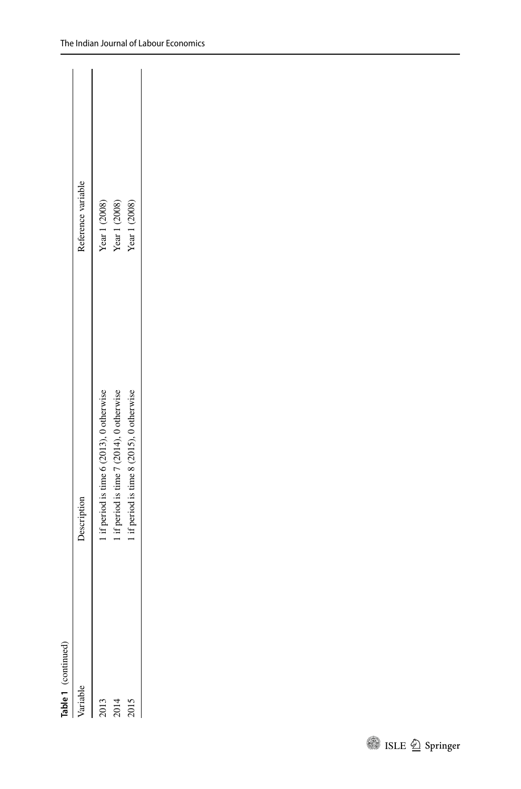| Reference variable                                         |
|------------------------------------------------------------|
|                                                            |
| Year 1 (2008)<br>if period is time 6 (2013), 0 otherwise   |
| Year $1(2008)$<br>If period is time 7 (2014), 0 otherwise  |
| Year 1 (2008)<br>1 if period is time 8 (2015), 0 otherwise |
|                                                            |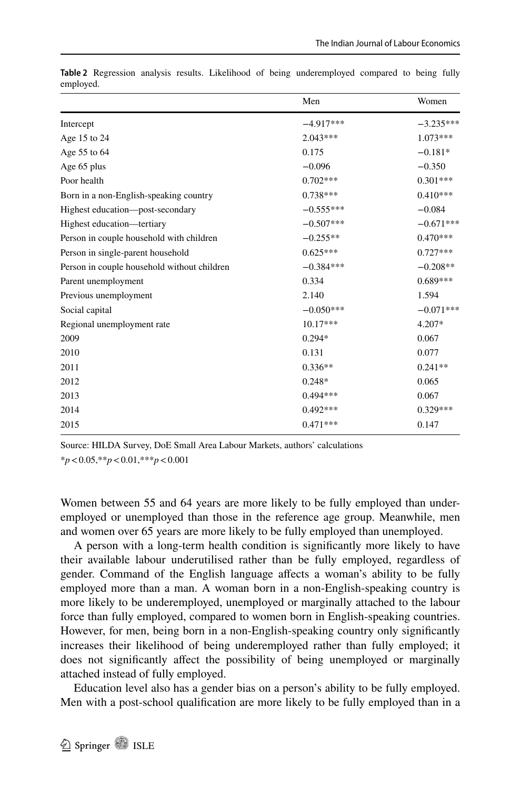|                                             | Men         | Women       |
|---------------------------------------------|-------------|-------------|
| Intercept                                   | $-4.917***$ | $-3.235***$ |
| Age 15 to 24                                | $2.043***$  | $1.073***$  |
| Age 55 to 64                                | 0.175       | $-0.181*$   |
| Age 65 plus                                 | $-0.096$    | $-0.350$    |
| Poor health                                 | $0.702***$  | $0.301***$  |
| Born in a non-English-speaking country      | $0.738***$  | $0.410***$  |
| Highest education-post-secondary            | $-0.555***$ | $-0.084$    |
| Highest education-tertiary                  | $-0.507***$ | $-0.671***$ |
| Person in couple household with children    | $-0.255**$  | $0.470***$  |
| Person in single-parent household           | $0.625***$  | $0.727***$  |
| Person in couple household without children | $-0.384***$ | $-0.208**$  |
| Parent unemployment                         | 0.334       | $0.689***$  |
| Previous unemployment                       | 2.140       | 1.594       |
| Social capital                              | $-0.050***$ | $-0.071***$ |
| Regional unemployment rate                  | $10.17***$  | 4.207*      |
| 2009                                        | $0.294*$    | 0.067       |
| 2010                                        | 0.131       | 0.077       |
| 2011                                        | $0.336**$   | $0.241**$   |
| 2012                                        | $0.248*$    | 0.065       |
| 2013                                        | $0.494***$  | 0.067       |
| 2014                                        | $0.492***$  | $0.329***$  |
| 2015                                        | $0.471***$  | 0.147       |
|                                             |             |             |

<span id="page-9-0"></span>**Table 2** Regression analysis results. Likelihood of being underemployed compared to being fully employed.

Source: HILDA Survey, DoE Small Area Labour Markets, authors' calculations

\**p*<0.05,\*\**p*<0.01,\*\*\**p*<0.001

Women between 55 and 64 years are more likely to be fully employed than underemployed or unemployed than those in the reference age group. Meanwhile, men and women over 65 years are more likely to be fully employed than unemployed.

A person with a long-term health condition is signifcantly more likely to have their available labour underutilised rather than be fully employed, regardless of gender. Command of the English language afects a woman's ability to be fully employed more than a man. A woman born in a non-English-speaking country is more likely to be underemployed, unemployed or marginally attached to the labour force than fully employed, compared to women born in English-speaking countries. However, for men, being born in a non-English-speaking country only signifcantly increases their likelihood of being underemployed rather than fully employed; it does not signifcantly afect the possibility of being unemployed or marginally attached instead of fully employed.

Education level also has a gender bias on a person's ability to be fully employed. Men with a post-school qualifcation are more likely to be fully employed than in a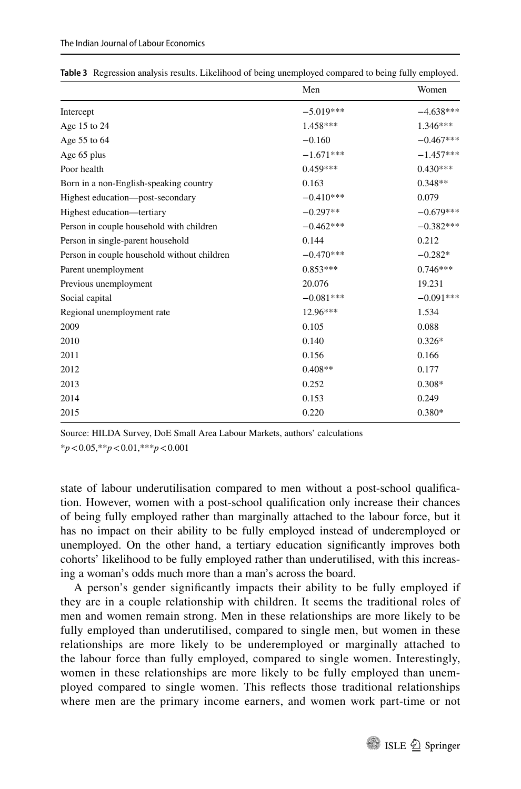|                                             | Men         | Women       |
|---------------------------------------------|-------------|-------------|
| Intercept                                   | $-5.019***$ | $-4.638***$ |
| Age 15 to 24                                | 1.458***    | $1.346***$  |
| Age 55 to 64                                | $-0.160$    | $-0.467***$ |
| Age 65 plus                                 | $-1.671***$ | $-1.457***$ |
| Poor health                                 | $0.459***$  | $0.430***$  |
| Born in a non-English-speaking country      | 0.163       | $0.348**$   |
| Highest education—post-secondary            | $-0.410***$ | 0.079       |
| Highest education—tertiary                  | $-0.297**$  | $-0.679***$ |
| Person in couple household with children    | $-0.462***$ | $-0.382***$ |
| Person in single-parent household           | 0.144       | 0.212       |
| Person in couple household without children | $-0.470***$ | $-0.282*$   |
| Parent unemployment                         | $0.853***$  | $0.746***$  |
| Previous unemployment                       | 20.076      | 19.231      |
| Social capital                              | $-0.081***$ | $-0.091***$ |
| Regional unemployment rate                  | $12.96***$  | 1.534       |
| 2009                                        | 0.105       | 0.088       |
| 2010                                        | 0.140       | $0.326*$    |
| 2011                                        | 0.156       | 0.166       |
| 2012                                        | $0.408**$   | 0.177       |
| 2013                                        | 0.252       | $0.308*$    |
| 2014                                        | 0.153       | 0.249       |
| 2015                                        | 0.220       | $0.380*$    |

<span id="page-10-0"></span>

|  |  |  |  |  |  |  | Table 3 Regression analysis results. Likelihood of being unemployed compared to being fully employed. |  |  |  |
|--|--|--|--|--|--|--|-------------------------------------------------------------------------------------------------------|--|--|--|
|--|--|--|--|--|--|--|-------------------------------------------------------------------------------------------------------|--|--|--|

Source: HILDA Survey, DoE Small Area Labour Markets, authors' calculations \**p*<0.05,\*\**p*<0.01,\*\*\**p*<0.001

state of labour underutilisation compared to men without a post-school qualifcation. However, women with a post-school qualifcation only increase their chances of being fully employed rather than marginally attached to the labour force, but it has no impact on their ability to be fully employed instead of underemployed or unemployed. On the other hand, a tertiary education signifcantly improves both cohorts' likelihood to be fully employed rather than underutilised, with this increasing a woman's odds much more than a man's across the board.

A person's gender signifcantly impacts their ability to be fully employed if they are in a couple relationship with children. It seems the traditional roles of men and women remain strong. Men in these relationships are more likely to be fully employed than underutilised, compared to single men, but women in these relationships are more likely to be underemployed or marginally attached to the labour force than fully employed, compared to single women. Interestingly, women in these relationships are more likely to be fully employed than unemployed compared to single women. This refects those traditional relationships where men are the primary income earners, and women work part-time or not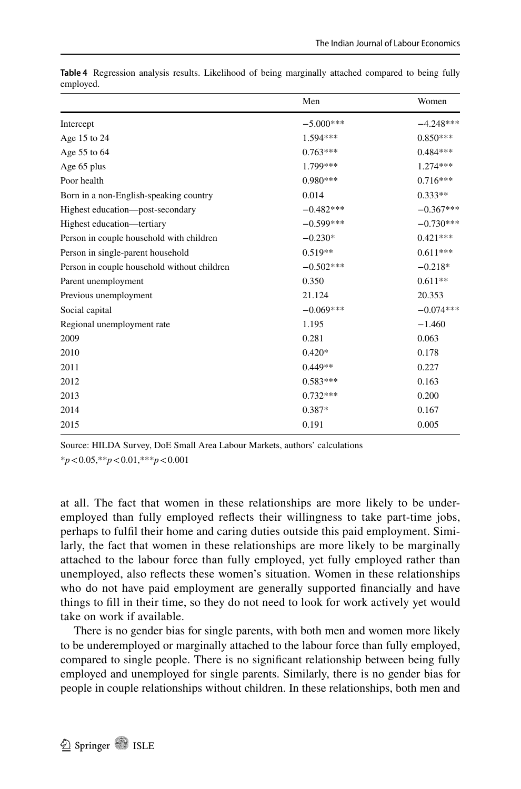|                                             | Men         | Women       |
|---------------------------------------------|-------------|-------------|
| Intercept                                   | $-5.000***$ | $-4.248***$ |
| Age 15 to 24                                | 1.594 ***   | $0.850***$  |
| Age 55 to 64                                | $0.763***$  | $0.484***$  |
| Age 65 plus                                 | 1.799***    | $1.274***$  |
| Poor health                                 | $0.980***$  | $0.716***$  |
| Born in a non-English-speaking country      | 0.014       | $0.333**$   |
| Highest education-post-secondary            | $-0.482***$ | $-0.367***$ |
| Highest education-tertiary                  | $-0.599***$ | $-0.730***$ |
| Person in couple household with children    | $-0.230*$   | $0.421***$  |
| Person in single-parent household           | $0.519**$   | $0.611***$  |
| Person in couple household without children | $-0.502***$ | $-0.218*$   |
| Parent unemployment                         | 0.350       | $0.611**$   |
| Previous unemployment                       | 21.124      | 20.353      |
| Social capital                              | $-0.069***$ | $-0.074***$ |
| Regional unemployment rate                  | 1.195       | $-1.460$    |
| 2009                                        | 0.281       | 0.063       |
| 2010                                        | $0.420*$    | 0.178       |
| 2011                                        | $0.449**$   | 0.227       |
| 2012                                        | $0.583***$  | 0.163       |
| 2013                                        | $0.732***$  | 0.200       |
| 2014                                        | $0.387*$    | 0.167       |
| 2015                                        | 0.191       | 0.005       |
|                                             |             |             |

<span id="page-11-0"></span>**Table 4** Regression analysis results. Likelihood of being marginally attached compared to being fully employed.

Source: HILDA Survey, DoE Small Area Labour Markets, authors' calculations

\**p*<0.05,\*\**p*<0.01,\*\*\**p*<0.001

at all. The fact that women in these relationships are more likely to be underemployed than fully employed refects their willingness to take part-time jobs, perhaps to fulfl their home and caring duties outside this paid employment. Similarly, the fact that women in these relationships are more likely to be marginally attached to the labour force than fully employed, yet fully employed rather than unemployed, also refects these women's situation. Women in these relationships who do not have paid employment are generally supported fnancially and have things to fll in their time, so they do not need to look for work actively yet would take on work if available.

There is no gender bias for single parents, with both men and women more likely to be underemployed or marginally attached to the labour force than fully employed, compared to single people. There is no signifcant relationship between being fully employed and unemployed for single parents. Similarly, there is no gender bias for people in couple relationships without children. In these relationships, both men and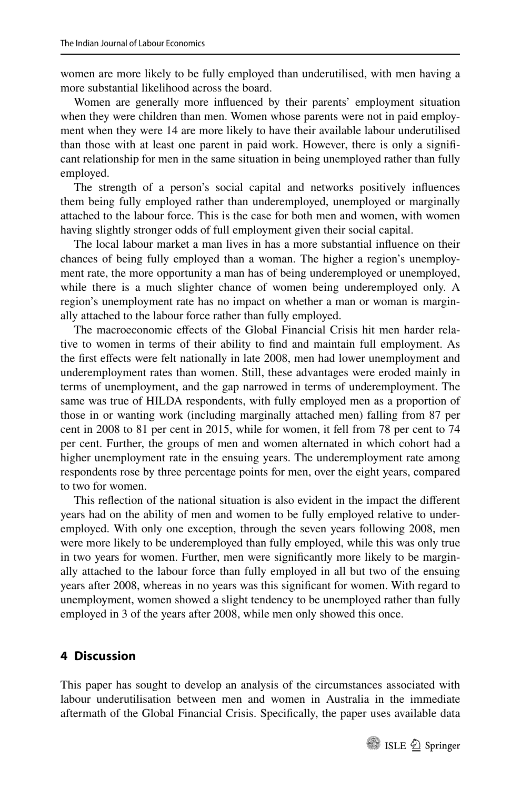women are more likely to be fully employed than underutilised, with men having a more substantial likelihood across the board.

Women are generally more infuenced by their parents' employment situation when they were children than men. Women whose parents were not in paid employment when they were 14 are more likely to have their available labour underutilised than those with at least one parent in paid work. However, there is only a signifcant relationship for men in the same situation in being unemployed rather than fully employed.

The strength of a person's social capital and networks positively infuences them being fully employed rather than underemployed, unemployed or marginally attached to the labour force. This is the case for both men and women, with women having slightly stronger odds of full employment given their social capital.

The local labour market a man lives in has a more substantial infuence on their chances of being fully employed than a woman. The higher a region's unemployment rate, the more opportunity a man has of being underemployed or unemployed, while there is a much slighter chance of women being underemployed only. A region's unemployment rate has no impact on whether a man or woman is marginally attached to the labour force rather than fully employed.

The macroeconomic efects of the Global Financial Crisis hit men harder relative to women in terms of their ability to fnd and maintain full employment. As the first effects were felt nationally in late 2008, men had lower unemployment and underemployment rates than women. Still, these advantages were eroded mainly in terms of unemployment, and the gap narrowed in terms of underemployment. The same was true of HILDA respondents, with fully employed men as a proportion of those in or wanting work (including marginally attached men) falling from 87 per cent in 2008 to 81 per cent in 2015, while for women, it fell from 78 per cent to 74 per cent. Further, the groups of men and women alternated in which cohort had a higher unemployment rate in the ensuing years. The underemployment rate among respondents rose by three percentage points for men, over the eight years, compared to two for women.

This refection of the national situation is also evident in the impact the diferent years had on the ability of men and women to be fully employed relative to underemployed. With only one exception, through the seven years following 2008, men were more likely to be underemployed than fully employed, while this was only true in two years for women. Further, men were signifcantly more likely to be marginally attached to the labour force than fully employed in all but two of the ensuing years after 2008, whereas in no years was this signifcant for women. With regard to unemployment, women showed a slight tendency to be unemployed rather than fully employed in 3 of the years after 2008, while men only showed this once.

# **4 Discussion**

This paper has sought to develop an analysis of the circumstances associated with labour underutilisation between men and women in Australia in the immediate aftermath of the Global Financial Crisis. Specifcally, the paper uses available data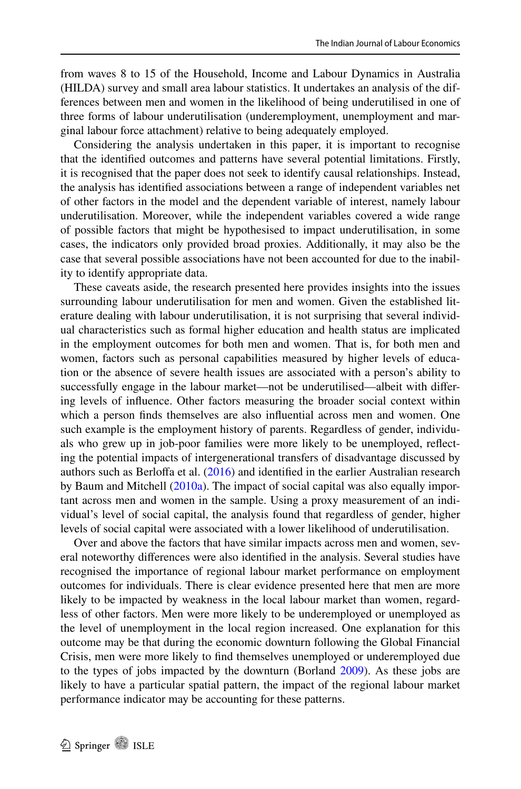from waves 8 to 15 of the Household, Income and Labour Dynamics in Australia (HILDA) survey and small area labour statistics. It undertakes an analysis of the differences between men and women in the likelihood of being underutilised in one of three forms of labour underutilisation (underemployment, unemployment and marginal labour force attachment) relative to being adequately employed.

Considering the analysis undertaken in this paper, it is important to recognise that the identifed outcomes and patterns have several potential limitations. Firstly, it is recognised that the paper does not seek to identify causal relationships. Instead, the analysis has identifed associations between a range of independent variables net of other factors in the model and the dependent variable of interest, namely labour underutilisation. Moreover, while the independent variables covered a wide range of possible factors that might be hypothesised to impact underutilisation, in some cases, the indicators only provided broad proxies. Additionally, it may also be the case that several possible associations have not been accounted for due to the inability to identify appropriate data.

These caveats aside, the research presented here provides insights into the issues surrounding labour underutilisation for men and women. Given the established literature dealing with labour underutilisation, it is not surprising that several individual characteristics such as formal higher education and health status are implicated in the employment outcomes for both men and women. That is, for both men and women, factors such as personal capabilities measured by higher levels of education or the absence of severe health issues are associated with a person's ability to successfully engage in the labour market—not be underutilised—albeit with difering levels of infuence. Other factors measuring the broader social context within which a person fnds themselves are also infuential across men and women. One such example is the employment history of parents. Regardless of gender, individuals who grew up in job-poor families were more likely to be unemployed, refecting the potential impacts of intergenerational transfers of disadvantage discussed by authors such as Berlofa et al. [\(2016](#page-15-7)) and identifed in the earlier Australian research by Baum and Mitchell [\(2010a\)](#page-15-2). The impact of social capital was also equally important across men and women in the sample. Using a proxy measurement of an individual's level of social capital, the analysis found that regardless of gender, higher levels of social capital were associated with a lower likelihood of underutilisation.

Over and above the factors that have similar impacts across men and women, several noteworthy diferences were also identifed in the analysis. Several studies have recognised the importance of regional labour market performance on employment outcomes for individuals. There is clear evidence presented here that men are more likely to be impacted by weakness in the local labour market than women, regardless of other factors. Men were more likely to be underemployed or unemployed as the level of unemployment in the local region increased. One explanation for this outcome may be that during the economic downturn following the Global Financial Crisis, men were more likely to fnd themselves unemployed or underemployed due to the types of jobs impacted by the downturn (Borland [2009](#page-15-8)). As these jobs are likely to have a particular spatial pattern, the impact of the regional labour market performance indicator may be accounting for these patterns.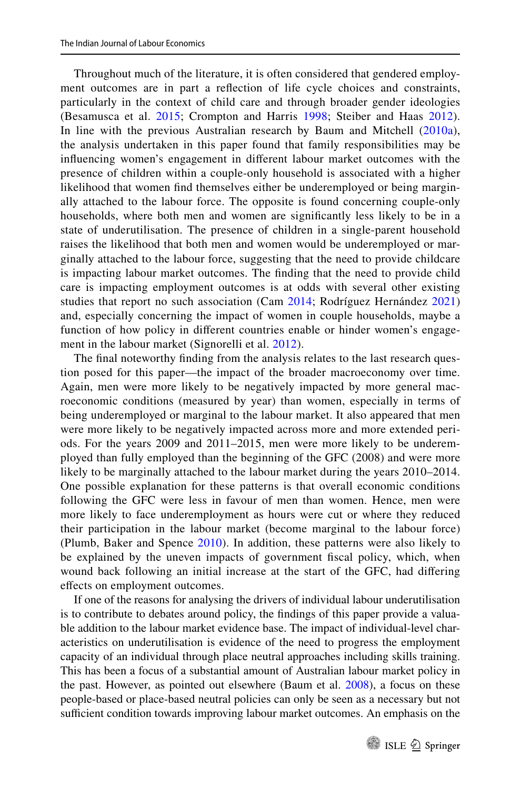Throughout much of the literature, it is often considered that gendered employment outcomes are in part a refection of life cycle choices and constraints, particularly in the context of child care and through broader gender ideologies (Besamusca et al. [2015](#page-15-9); Crompton and Harris [1998](#page-16-18); Steiber and Haas [2012](#page-16-19)). In line with the previous Australian research by Baum and Mitchell [\(2010a](#page-15-2)), the analysis undertaken in this paper found that family responsibilities may be infuencing women's engagement in diferent labour market outcomes with the presence of children within a couple-only household is associated with a higher likelihood that women fnd themselves either be underemployed or being marginally attached to the labour force. The opposite is found concerning couple-only households, where both men and women are signifcantly less likely to be in a state of underutilisation. The presence of children in a single-parent household raises the likelihood that both men and women would be underemployed or marginally attached to the labour force, suggesting that the need to provide childcare is impacting labour market outcomes. The fnding that the need to provide child care is impacting employment outcomes is at odds with several other existing studies that report no such association (Cam [2014](#page-15-3); Rodríguez Hernández [2021](#page-16-9)) and, especially concerning the impact of women in couple households, maybe a function of how policy in diferent countries enable or hinder women's engagement in the labour market (Signorelli et al. [2012\)](#page-16-20).

The fnal noteworthy fnding from the analysis relates to the last research question posed for this paper—the impact of the broader macroeconomy over time. Again, men were more likely to be negatively impacted by more general macroeconomic conditions (measured by year) than women, especially in terms of being underemployed or marginal to the labour market. It also appeared that men were more likely to be negatively impacted across more and more extended periods. For the years 2009 and 2011–2015, men were more likely to be underemployed than fully employed than the beginning of the GFC (2008) and were more likely to be marginally attached to the labour market during the years 2010–2014. One possible explanation for these patterns is that overall economic conditions following the GFC were less in favour of men than women. Hence, men were more likely to face underemployment as hours were cut or where they reduced their participation in the labour market (become marginal to the labour force) (Plumb, Baker and Spence [2010](#page-16-21)). In addition, these patterns were also likely to be explained by the uneven impacts of government fscal policy, which, when wound back following an initial increase at the start of the GFC, had difering efects on employment outcomes.

If one of the reasons for analysing the drivers of individual labour underutilisation is to contribute to debates around policy, the fndings of this paper provide a valuable addition to the labour market evidence base. The impact of individual-level characteristics on underutilisation is evidence of the need to progress the employment capacity of an individual through place neutral approaches including skills training. This has been a focus of a substantial amount of Australian labour market policy in the past. However, as pointed out elsewhere (Baum et al. [2008](#page-15-0)), a focus on these people-based or place-based neutral policies can only be seen as a necessary but not sufficient condition towards improving labour market outcomes. An emphasis on the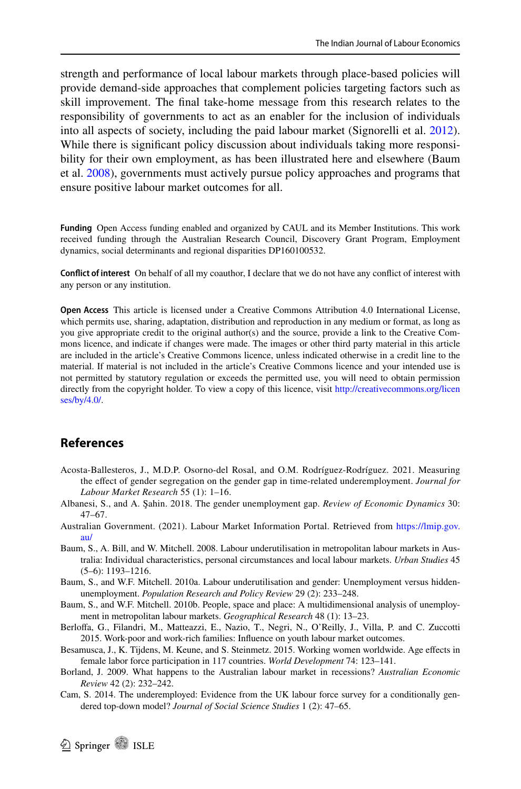strength and performance of local labour markets through place-based policies will provide demand-side approaches that complement policies targeting factors such as skill improvement. The fnal take-home message from this research relates to the responsibility of governments to act as an enabler for the inclusion of individuals into all aspects of society, including the paid labour market (Signorelli et al. [2012\)](#page-16-20). While there is signifcant policy discussion about individuals taking more responsibility for their own employment, as has been illustrated here and elsewhere (Baum et al. [2008](#page-15-0)), governments must actively pursue policy approaches and programs that ensure positive labour market outcomes for all.

**Funding** Open Access funding enabled and organized by CAUL and its Member Institutions. This work received funding through the Australian Research Council, Discovery Grant Program, Employment dynamics, social determinants and regional disparities DP160100532.

**Confict of interest** On behalf of all my coauthor, I declare that we do not have any confict of interest with any person or any institution.

**Open Access** This article is licensed under a Creative Commons Attribution 4.0 International License, which permits use, sharing, adaptation, distribution and reproduction in any medium or format, as long as you give appropriate credit to the original author(s) and the source, provide a link to the Creative Commons licence, and indicate if changes were made. The images or other third party material in this article are included in the article's Creative Commons licence, unless indicated otherwise in a credit line to the material. If material is not included in the article's Creative Commons licence and your intended use is not permitted by statutory regulation or exceeds the permitted use, you will need to obtain permission directly from the copyright holder. To view a copy of this licence, visit [http://creativecommons.org/licen](http://creativecommons.org/licenses/by/4.0/) [ses/by/4.0/](http://creativecommons.org/licenses/by/4.0/).

### **References**

- <span id="page-15-4"></span>Acosta-Ballesteros, J., M.D.P. Osorno-del Rosal, and O.M. Rodríguez-Rodríguez. 2021. Measuring the efect of gender segregation on the gender gap in time-related underemployment. *Journal for Labour Market Research* 55 (1): 1–16.
- <span id="page-15-5"></span>Albanesi, S., and A. Şahin. 2018. The gender unemployment gap. *Review of Economic Dynamics* 30: 47–67.
- <span id="page-15-6"></span>Australian Government. (2021). Labour Market Information Portal. Retrieved from [https://lmip.gov.](https://lmip.gov.au/) [au/](https://lmip.gov.au/)
- <span id="page-15-0"></span>Baum, S., A. Bill, and W. Mitchell. 2008. Labour underutilisation in metropolitan labour markets in Australia: Individual characteristics, personal circumstances and local labour markets. *Urban Studies* 45 (5–6): 1193–1216.
- <span id="page-15-2"></span>Baum, S., and W.F. Mitchell. 2010a. Labour underutilisation and gender: Unemployment versus hiddenunemployment. *Population Research and Policy Review* 29 (2): 233–248.
- <span id="page-15-1"></span>Baum, S., and W.F. Mitchell. 2010b. People, space and place: A multidimensional analysis of unemployment in metropolitan labour markets. *Geographical Research* 48 (1): 13–23.
- <span id="page-15-7"></span>Berlofa, G., Filandri, M., Matteazzi, E., Nazio, T., Negri, N., O'Reilly, J., Villa, P. and C. Zuccotti 2015. Work-poor and work-rich families: Infuence on youth labour market outcomes.
- <span id="page-15-9"></span>Besamusca, J., K. Tijdens, M. Keune, and S. Steinmetz. 2015. Working women worldwide. Age efects in female labor force participation in 117 countries. *World Development* 74: 123–141.
- <span id="page-15-8"></span>Borland, J. 2009. What happens to the Australian labour market in recessions? *Australian Economic Review* 42 (2): 232–242.
- <span id="page-15-3"></span>Cam, S. 2014. The underemployed: Evidence from the UK labour force survey for a conditionally gendered top-down model? *Journal of Social Science Studies* 1 (2): 47–65.

**2** Springer **1** ISLE